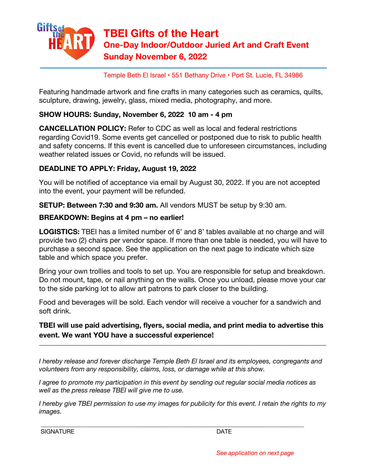

Temple Beth El Israel • 551 Bethany Drive • Port St. Lucie, FL 34986

Featuring handmade artwork and fine crafts in many categories such as ceramics, quilts, sculpture, drawing, jewelry, glass, mixed media, photography, and more.

#### **SHOW HOURS: Sunday, November 6, 2022 10 am - 4 pm**

**CANCELLATION POLICY:** Refer to CDC as well as local and federal restrictions regarding Covid19. Some events get cancelled or postponed due to risk to public health and safety concerns. If this event is cancelled due to unforeseen circumstances, including weather related issues or Covid, no refunds will be issued.

## **DEADLINE TO APPLY: Friday, August 19, 2022**

You will be notified of acceptance via email by August 30, 2022. If you are not accepted into the event, your payment will be refunded.

**SETUP: Between 7:30 and 9:30 am.** All vendors MUST be setup by 9:30 am.

## **BREAKDOWN: Begins at 4 pm – no earlier!**

**LOGISTICS:** TBEI has a limited number of 6' and 8' tables available at no charge and will provide two (2) chairs per vendor space. If more than one table is needed, you will have to purchase a second space. See the application on the next page to indicate which size table and which space you prefer.

Bring your own trollies and tools to set up. You are responsible for setup and breakdown. Do not mount, tape, or nail anything on the walls. Once you unload, please move your car to the side parking lot to allow art patrons to park closer to the building.

Food and beverages will be sold. Each vendor will receive a voucher for a sandwich and soft drink.

# **TBEI will use paid advertising, flyers, social media, and print media to advertise this event. We want YOU have a successful experience!**

––––––––––––––––––––––––––––––––––––––––––––––––––––––––––––––––––––––––

*I hereby release and forever discharge Temple Beth El Israel and its employees, congregants and volunteers from any responsibility, claims, loss, or damage while at this show.*

*I agree to promote my participation in this event by sending out regular social media notices as well as the press release TBEI will give me to use.*

 $\_$  , and the set of the set of the set of the set of the set of the set of the set of the set of the set of the set of the set of the set of the set of the set of the set of the set of the set of the set of the set of th

*I hereby give TBEI permission to use my images for publicity for this event. I retain the rights to my images.*

SIGNATURE DATE